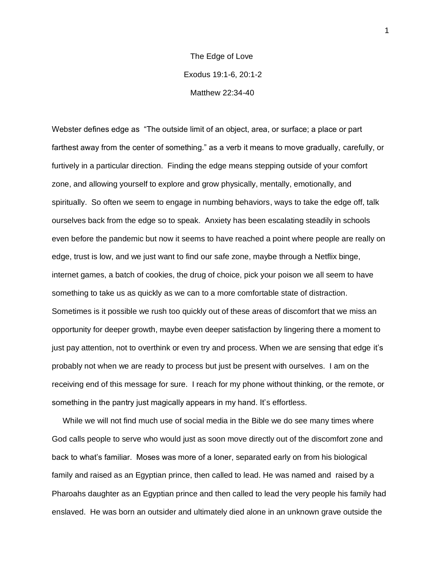## The Edge of Love Exodus 19:1-6, 20:1-2 Matthew 22:34-40

Webster defines edge as "The outside limit of an object, area, or surface; a place or part farthest away from the center of something." as a verb it means to move gradually, carefully, or furtively in a particular direction. Finding the edge means stepping outside of your comfort zone, and allowing yourself to explore and grow physically, mentally, emotionally, and spiritually. So often we seem to engage in numbing behaviors, ways to take the edge off, talk ourselves back from the edge so to speak. Anxiety has been escalating steadily in schools even before the pandemic but now it seems to have reached a point where people are really on edge, trust is low, and we just want to find our safe zone, maybe through a Netflix binge, internet games, a batch of cookies, the drug of choice, pick your poison we all seem to have something to take us as quickly as we can to a more comfortable state of distraction. Sometimes is it possible we rush too quickly out of these areas of discomfort that we miss an opportunity for deeper growth, maybe even deeper satisfaction by lingering there a moment to just pay attention, not to overthink or even try and process. When we are sensing that edge it's probably not when we are ready to process but just be present with ourselves. I am on the receiving end of this message for sure. I reach for my phone without thinking, or the remote, or something in the pantry just magically appears in my hand. It's effortless.

 While we will not find much use of social media in the Bible we do see many times where God calls people to serve who would just as soon move directly out of the discomfort zone and back to what's familiar. Moses was more of a loner, separated early on from his biological family and raised as an Egyptian prince, then called to lead. He was named and raised by a Pharoahs daughter as an Egyptian prince and then called to lead the very people his family had enslaved. He was born an outsider and ultimately died alone in an unknown grave outside the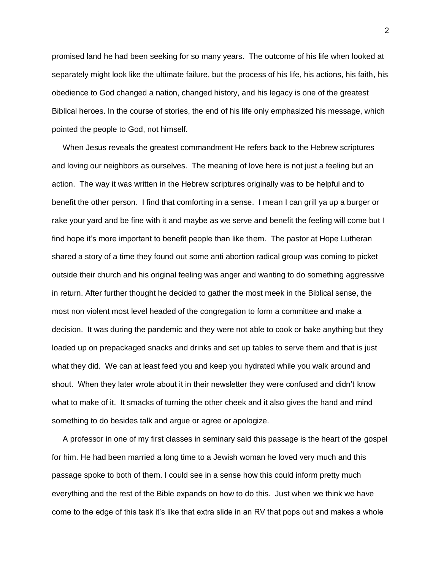promised land he had been seeking for so many years. The outcome of his life when looked at separately might look like the ultimate failure, but the process of his life, his actions, his faith, his obedience to God changed a nation, changed history, and his legacy is one of the greatest Biblical heroes. In the course of stories, the end of his life only emphasized his message, which pointed the people to God, not himself.

 When Jesus reveals the greatest commandment He refers back to the Hebrew scriptures and loving our neighbors as ourselves. The meaning of love here is not just a feeling but an action. The way it was written in the Hebrew scriptures originally was to be helpful and to benefit the other person. I find that comforting in a sense. I mean I can grill ya up a burger or rake your yard and be fine with it and maybe as we serve and benefit the feeling will come but I find hope it's more important to benefit people than like them. The pastor at Hope Lutheran shared a story of a time they found out some anti abortion radical group was coming to picket outside their church and his original feeling was anger and wanting to do something aggressive in return. After further thought he decided to gather the most meek in the Biblical sense, the most non violent most level headed of the congregation to form a committee and make a decision. It was during the pandemic and they were not able to cook or bake anything but they loaded up on prepackaged snacks and drinks and set up tables to serve them and that is just what they did. We can at least feed you and keep you hydrated while you walk around and shout. When they later wrote about it in their newsletter they were confused and didn't know what to make of it. It smacks of turning the other cheek and it also gives the hand and mind something to do besides talk and argue or agree or apologize.

 A professor in one of my first classes in seminary said this passage is the heart of the gospel for him. He had been married a long time to a Jewish woman he loved very much and this passage spoke to both of them. I could see in a sense how this could inform pretty much everything and the rest of the Bible expands on how to do this. Just when we think we have come to the edge of this task it's like that extra slide in an RV that pops out and makes a whole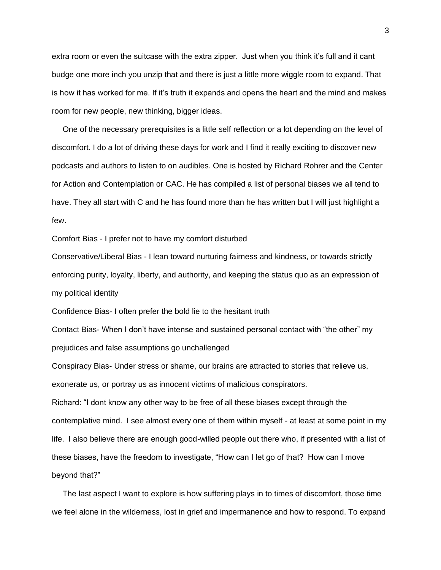extra room or even the suitcase with the extra zipper. Just when you think it's full and it cant budge one more inch you unzip that and there is just a little more wiggle room to expand. That is how it has worked for me. If it's truth it expands and opens the heart and the mind and makes room for new people, new thinking, bigger ideas.

 One of the necessary prerequisites is a little self reflection or a lot depending on the level of discomfort. I do a lot of driving these days for work and I find it really exciting to discover new podcasts and authors to listen to on audibles. One is hosted by Richard Rohrer and the Center for Action and Contemplation or CAC. He has compiled a list of personal biases we all tend to have. They all start with C and he has found more than he has written but I will just highlight a few.

Comfort Bias - I prefer not to have my comfort disturbed

Conservative/Liberal Bias - I lean toward nurturing fairness and kindness, or towards strictly enforcing purity, loyalty, liberty, and authority, and keeping the status quo as an expression of my political identity

Confidence Bias- I often prefer the bold lie to the hesitant truth

Contact Bias- When I don't have intense and sustained personal contact with "the other" my prejudices and false assumptions go unchallenged

Conspiracy Bias- Under stress or shame, our brains are attracted to stories that relieve us, exonerate us, or portray us as innocent victims of malicious conspirators.

Richard: "I dont know any other way to be free of all these biases except through the contemplative mind. I see almost every one of them within myself - at least at some point in my life. I also believe there are enough good-willed people out there who, if presented with a list of these biases, have the freedom to investigate, "How can I let go of that? How can I move beyond that?"

 The last aspect I want to explore is how suffering plays in to times of discomfort, those time we feel alone in the wilderness, lost in grief and impermanence and how to respond. To expand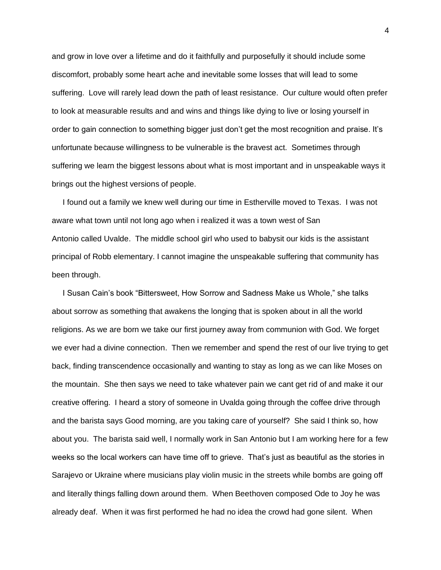and grow in love over a lifetime and do it faithfully and purposefully it should include some discomfort, probably some heart ache and inevitable some losses that will lead to some suffering. Love will rarely lead down the path of least resistance. Our culture would often prefer to look at measurable results and and wins and things like dying to live or losing yourself in order to gain connection to something bigger just don't get the most recognition and praise. It's unfortunate because willingness to be vulnerable is the bravest act. Sometimes through suffering we learn the biggest lessons about what is most important and in unspeakable ways it brings out the highest versions of people.

 I found out a family we knew well during our time in Estherville moved to Texas. I was not aware what town until not long ago when i realized it was a town west of San Antonio called Uvalde. The middle school girl who used to babysit our kids is the assistant principal of Robb elementary. I cannot imagine the unspeakable suffering that community has been through.

 I Susan Cain's book "Bittersweet, How Sorrow and Sadness Make us Whole," she talks about sorrow as something that awakens the longing that is spoken about in all the world religions. As we are born we take our first journey away from communion with God. We forget we ever had a divine connection. Then we remember and spend the rest of our live trying to get back, finding transcendence occasionally and wanting to stay as long as we can like Moses on the mountain. She then says we need to take whatever pain we cant get rid of and make it our creative offering. I heard a story of someone in Uvalda going through the coffee drive through and the barista says Good morning, are you taking care of yourself? She said I think so, how about you. The barista said well, I normally work in San Antonio but I am working here for a few weeks so the local workers can have time off to grieve. That's just as beautiful as the stories in Sarajevo or Ukraine where musicians play violin music in the streets while bombs are going off and literally things falling down around them. When Beethoven composed Ode to Joy he was already deaf. When it was first performed he had no idea the crowd had gone silent. When